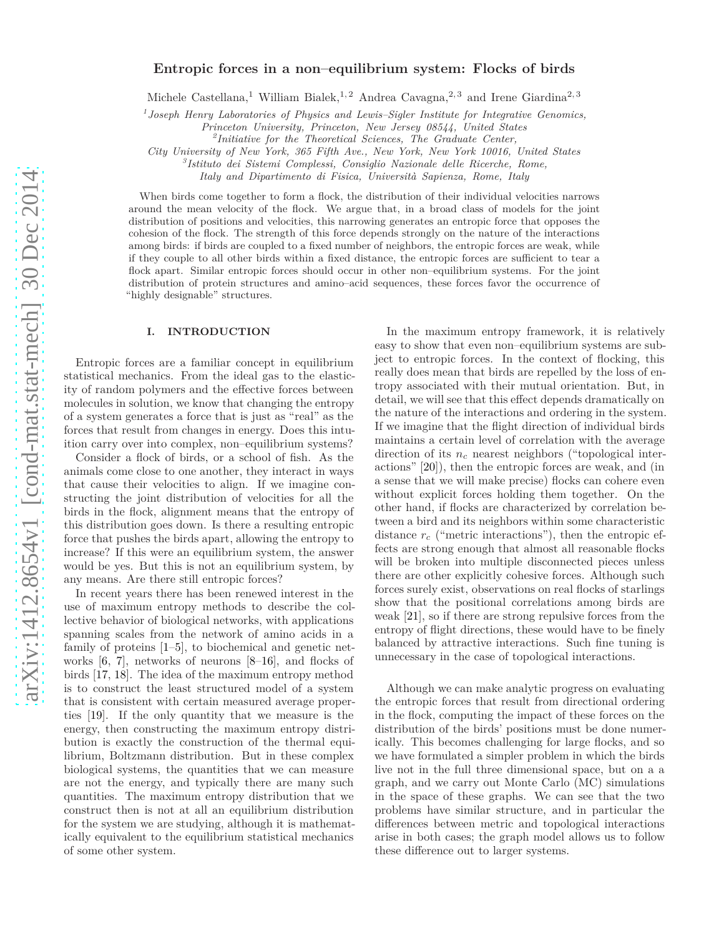# **Entropic forces in a non–equilibrium system: Flocks of birds**

Michele Castellana,<sup>1</sup> William Bialek,<sup>1,2</sup> Andrea Cavagna,<sup>2,3</sup> and Irene Giardina<sup>2,3</sup>

<sup>1</sup> Joseph Henry Laboratories of Physics and Lewis–Sigler Institute for Integrative Genomics,

*Princeton University, Princeton, New Jersey 08544, United States*

*2 Initiative for the Theoretical Sciences, The Graduate Center,*

*City University of New York, 365 Fifth Ave., New York, New York 10016, United States*

*3 Istituto dei Sistemi Complessi, Consiglio Nazionale delle Ricerche, Rome,*

*Italy and Dipartimento di Fisica, Universit`a Sapienza, Rome, Italy*

When birds come together to form a flock, the distribution of their individual velocities narrows around the mean velocity of the flock. We argue that, in a broad class of models for the joint distribution of positions and velocities, this narrowing generates an entropic force that opposes the cohesion of the flock. The strength of this force depends strongly on the nature of the interactions among birds: if birds are coupled to a fixed number of neighbors, the entropic forces are weak, while if they couple to all other birds within a fixed distance, the entropic forces are sufficient to tear a flock apart. Similar entropic forces should occur in other non–equilibrium systems. For the joint distribution of protein structures and amino–acid sequences, these forces favor the occurrence of "highly designable" structures.

# **I. INTRODUCTION**

Entropic forces are a familiar concept in equilibrium statistical mechanics. From the ideal gas to the elasticity of random polymers and the effective forces between molecules in solution, we know that changing the entropy of a system generates a force that is just as "real" as the forces that result from changes in energy. Does this intuition carry over into complex, non–equilibrium systems?

Consider a flock of birds, or a school of fish. As the animals come close to one another, they interact in ways that cause their velocities to align. If we imagine constructing the joint distribution of velocities for all the birds in the flock, alignment means that the entropy of this distribution goes down. Is there a resulting entropic force that pushes the birds apart, allowing the entropy to increase? If this were an equilibrium system, the answer would be yes. But this is not an equilibrium system, by any means. Are there still entropic forces?

In recent years there has been renewed interest in the use of maximum entropy methods to describe the collective behavior of biological networks, with applications spanning scales from the network of amino acids in a family of proteins [\[1](#page-10-0)[–5](#page-10-1)], to biochemical and genetic networks [\[6](#page-10-2), [7](#page-10-3)], networks of neurons [\[8](#page-10-4)[–16](#page-10-5)], and flocks of birds [\[17](#page-10-6), [18\]](#page-10-7). The idea of the maximum entropy method is to construct the least structured model of a system that is consistent with certain measured average properties [\[19\]](#page-10-8). If the only quantity that we measure is the energy, then constructing the maximum entropy distribution is exactly the construction of the thermal equilibrium, Boltzmann distribution. But in these complex biological systems, the quantities that we can measure are not the energy, and typically there are many such quantities. The maximum entropy distribution that we construct then is not at all an equilibrium distribution for the system we are studying, although it is mathematically equivalent to the equilibrium statistical mechanics of some other system.

In the maximum entropy framework, it is relatively easy to show that even non–equilibrium systems are subject to entropic forces. In the context of flocking, this really does mean that birds are repelled by the loss of entropy associated with their mutual orientation. But, in detail, we will see that this effect depends dramatically on the nature of the interactions and ordering in the system. If we imagine that the flight direction of individual birds maintains a certain level of correlation with the average direction of its *n<sup>c</sup>* nearest neighbors ("topological interactions" [\[20](#page-10-9)]), then the entropic forces are weak, and (in a sense that we will make precise) flocks can cohere even without explicit forces holding them together. On the other hand, if flocks are characterized by correlation between a bird and its neighbors within some characteristic distance  $r_c$  ("metric interactions"), then the entropic effects are strong enough that almost all reasonable flocks will be broken into multiple disconnected pieces unless there are other explicitly cohesive forces. Although such forces surely exist, observations on real flocks of starlings show that the positional correlations among birds are weak [\[21](#page-10-10)], so if there are strong repulsive forces from the entropy of flight directions, these would have to be finely balanced by attractive interactions. Such fine tuning is unnecessary in the case of topological interactions.

Although we can make analytic progress on evaluating the entropic forces that result from directional ordering in the flock, computing the impact of these forces on the distribution of the birds' positions must be done numerically. This becomes challenging for large flocks, and so we have formulated a simpler problem in which the birds live not in the full three dimensional space, but on a a graph, and we carry out Monte Carlo (MC) simulations in the space of these graphs. We can see that the two problems have similar structure, and in particular the differences between metric and topological interactions arise in both cases; the graph model allows us to follow these difference out to larger systems.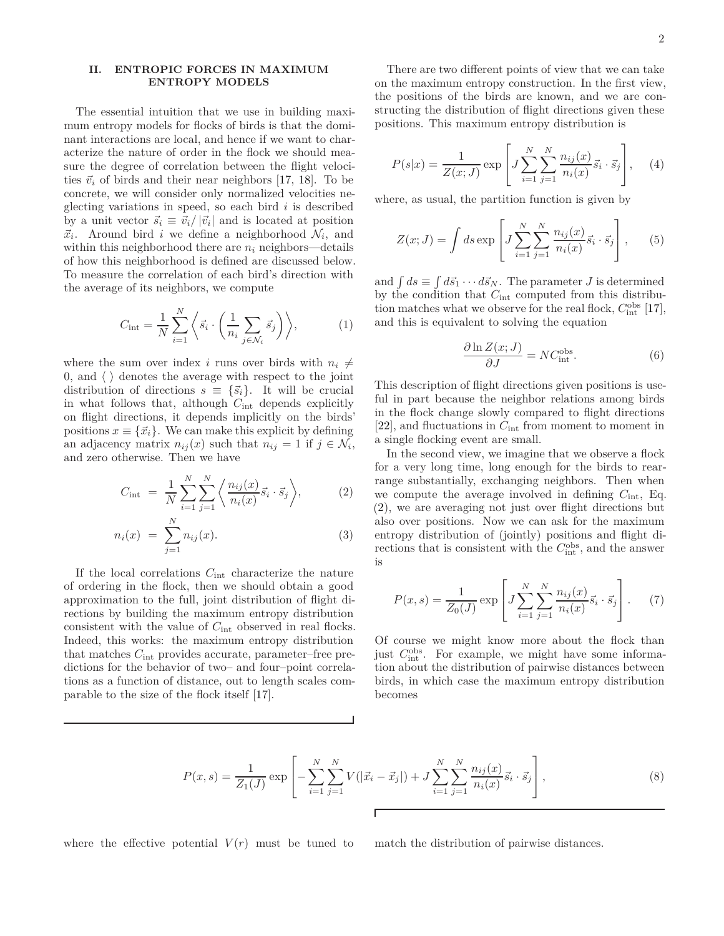## <span id="page-1-4"></span>**II. ENTROPIC FORCES IN MAXIMUM ENTROPY MODELS**

The essential intuition that we use in building maximum entropy models for flocks of birds is that the dominant interactions are local, and hence if we want to characterize the nature of order in the flock we should measure the degree of correlation between the flight velocities  $\vec{v}_i$  of birds and their near neighbors [\[17](#page-10-6), [18\]](#page-10-7). To be concrete, we will consider only normalized velocities neglecting variations in speed, so each bird *i* is described by a unit vector  $\vec{s}_i \equiv \vec{v}_i / |\vec{v}_i|$  and is located at position  $\vec{x}_i$ . Around bird *i* we define a neighborhood  $\mathcal{N}_i$ , and within this neighborhood there are  $n_i$  neighbors—details of how this neighborhood is defined are discussed below. To measure the correlation of each bird's direction with the average of its neighbors, we compute

$$
C_{\rm int} = \frac{1}{N} \sum_{i=1}^{N} \left\langle \vec{s}_i \cdot \left( \frac{1}{n_i} \sum_{j \in \mathcal{N}_i} \vec{s}_j \right) \right\rangle, \tag{1}
$$

where the sum over index *i* runs over birds with  $n_i \neq$ 0, and  $\langle \rangle$  denotes the average with respect to the joint distribution of directions  $s \equiv \{\vec{s}_i\}$ . It will be crucial in what follows that, although *C*int depends explicitly on flight directions, it depends implicitly on the birds' positions  $x \equiv \{\vec{x}_i\}$ . We can make this explicit by defining an adjacency matrix  $n_{ij}(x)$  such that  $n_{ij} = 1$  if  $j \in \mathcal{N}_i$ , and zero otherwise. Then we have

<span id="page-1-0"></span>
$$
C_{\rm int} = \frac{1}{N} \sum_{i=1}^{N} \sum_{j=1}^{N} \left\langle \frac{n_{ij}(x)}{n_i(x)} \vec{s}_i \cdot \vec{s}_j \right\rangle, \tag{2}
$$

$$
n_i(x) = \sum_{j=1}^{N} n_{ij}(x).
$$
 (3)

If the local correlations *C*int characterize the nature of ordering in the flock, then we should obtain a good approximation to the full, joint distribution of flight directions by building the maximum entropy distribution consistent with the value of *C*int observed in real flocks. Indeed, this works: the maximum entropy distribution that matches *C*int provides accurate, parameter–free predictions for the behavior of two– and four–point correlations as a function of distance, out to length scales comparable to the size of the flock itself [\[17\]](#page-10-6).

There are two different points of view that we can take on the maximum entropy construction. In the first view, the positions of the birds are known, and we are constructing the distribution of flight directions given these positions. This maximum entropy distribution is

<span id="page-1-5"></span>
$$
P(s|x) = \frac{1}{Z(x; J)} \exp\left[J \sum_{i=1}^{N} \sum_{j=1}^{N} \frac{n_{ij}(x)}{n_i(x)} \vec{s}_i \cdot \vec{s}_j\right], \quad (4)
$$

where, as usual, the partition function is given by

<span id="page-1-3"></span>
$$
Z(x; J) = \int ds \exp\left[J\sum_{i=1}^{N} \sum_{j=1}^{N} \frac{n_{ij}(x)}{n_i(x)} \vec{s}_i \cdot \vec{s}_j\right],
$$
 (5)

and  $\int ds \equiv \int d\vec{s}_1 \cdots d\vec{s}_N$ . The parameter *J* is determined by the condition that *C*int computed from this distribution matches what we observe for the real flock,  $C_{\text{int}}^{\text{obs}}$  [\[17](#page-10-6)], and this is equivalent to solving the equation

$$
\frac{\partial \ln Z(x;J)}{\partial J} = NC_{\text{int}}^{\text{obs}}.
$$
 (6)

This description of flight directions given positions is useful in part because the neighbor relations among birds in the flock change slowly compared to flight directions [\[22\]](#page-10-11), and fluctuations in *C*int from moment to moment in a single flocking event are small.

In the second view, we imagine that we observe a flock for a very long time, long enough for the birds to rearrange substantially, exchanging neighbors. Then when we compute the average involved in defining *C*int, Eq. [\(2\)](#page-1-0), we are averaging not just over flight directions but also over positions. Now we can ask for the maximum entropy distribution of (jointly) positions and flight directions that is consistent with the  $C_{\text{int}}^{\text{obs}}$ , and the answer is

<span id="page-1-1"></span>
$$
P(x,s) = \frac{1}{Z_0(J)} \exp\left[J\sum_{i=1}^{N} \sum_{j=1}^{N} \frac{n_{ij}(x)}{n_i(x)} \vec{s}_i \cdot \vec{s}_j\right].
$$
 (7)

Of course we might know more about the flock than just  $C_{\text{int}}^{\text{obs}}$ . For example, we might have some information about the distribution of pairwise distances between birds, in which case the maximum entropy distribution becomes

<span id="page-1-2"></span>
$$
P(x,s) = \frac{1}{Z_1(J)} \exp\left[-\sum_{i=1}^{N} \sum_{j=1}^{N} V(|\vec{x}_i - \vec{x}_j|) + J \sum_{i=1}^{N} \sum_{j=1}^{N} \frac{n_{ij}(x)}{n_i(x)} \vec{s}_i \cdot \vec{s}_j\right],
$$
\n(8)

where the effective potential  $V(r)$  must be tuned to match the distribution of pairwise distances.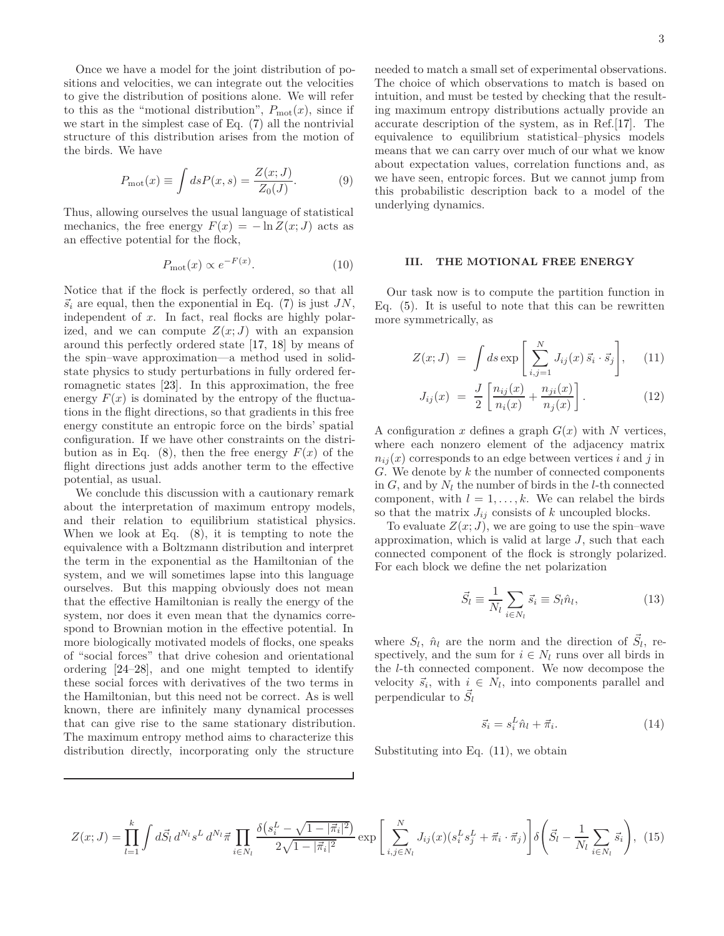Once we have a model for the joint distribution of positions and velocities, we can integrate out the velocities to give the distribution of positions alone. We will refer to this as the "motional distribution",  $P_{\text{mot}}(x)$ , since if we start in the simplest case of Eq. [\(7\)](#page-1-1) all the nontrivial structure of this distribution arises from the motion of the birds. We have

<span id="page-2-3"></span>
$$
P_{\text{mot}}(x) \equiv \int ds P(x, s) = \frac{Z(x; J)}{Z_0(J)}.
$$
 (9)

Thus, allowing ourselves the usual language of statistical mechanics, the free energy  $F(x) = -\ln Z(x; J)$  acts as an effective potential for the flock,

$$
P_{\text{mot}}(x) \propto e^{-F(x)}.\tag{10}
$$

Notice that if the flock is perfectly ordered, so that all  $\vec{s}_i$  are equal, then the exponential in Eq. [\(7\)](#page-1-1) is just *JN*, independent of x. In fact, real flocks are highly polarized, and we can compute  $Z(x; J)$  with an expansion around this perfectly ordered state [\[17](#page-10-6), [18\]](#page-10-7) by means of the spin–wave approximation—a method used in solidstate physics to study perturbations in fully ordered ferromagnetic states [\[23\]](#page-10-12). In this approximation, the free energy  $F(x)$  is dominated by the entropy of the fluctuations in the flight directions, so that gradients in this free energy constitute an entropic force on the birds' spatial configuration. If we have other constraints on the distribution as in Eq.  $(8)$ , then the free energy  $F(x)$  of the flight directions just adds another term to the effective potential, as usual.

We conclude this discussion with a cautionary remark about the interpretation of maximum entropy models, and their relation to equilibrium statistical physics. When we look at Eq. [\(8\)](#page-1-2), it is tempting to note the equivalence with a Boltzmann distribution and interpret the term in the exponential as the Hamiltonian of the system, and we will sometimes lapse into this language ourselves. But this mapping obviously does not mean that the effective Hamiltonian is really the energy of the system, nor does it even mean that the dynamics correspond to Brownian motion in the effective potential. In more biologically motivated models of flocks, one speaks of "social forces" that drive cohesion and orientational ordering [\[24](#page-10-13)[–28\]](#page-10-14), and one might tempted to identify these social forces with derivatives of the two terms in the Hamiltonian, but this need not be correct. As is well known, there are infinitely many dynamical processes that can give rise to the same stationary distribution. The maximum entropy method aims to characterize this distribution directly, incorporating only the structure needed to match a small set of experimental observations. The choice of which observations to match is based on intuition, and must be tested by checking that the resulting maximum entropy distributions actually provide an accurate description of the system, as in Ref.[\[17\]](#page-10-6). The equivalence to equilibrium statistical–physics models means that we can carry over much of our what we know about expectation values, correlation functions and, as we have seen, entropic forces. But we cannot jump from this probabilistic description back to a model of the underlying dynamics.

#### **III. THE MOTIONAL FREE ENERGY**

Our task now is to compute the partition function in Eq. [\(5\)](#page-1-3). It is useful to note that this can be rewritten more symmetrically, as

<span id="page-2-0"></span>
$$
Z(x; J) = \int ds \exp\left[\sum_{i,j=1}^{N} J_{ij}(x) \, \vec{s_i} \cdot \vec{s_j}\right], \quad (11)
$$

$$
J_{ij}(x) = \frac{J}{2} \left[ \frac{n_{ij}(x)}{n_i(x)} + \frac{n_{ji}(x)}{n_j(x)} \right].
$$
 (12)

A configuration  $x$  defines a graph  $G(x)$  with  $N$  vertices, where each nonzero element of the adjacency matrix  $n_{ij}(x)$  corresponds to an edge between vertices *i* and *j* in *G*. We denote by *k* the number of connected components in *G*, and by *N<sup>l</sup>* the number of birds in the *l*-th connected component, with  $l = 1, \ldots, k$ . We can relabel the birds so that the matrix  $J_{ij}$  consists of  $k$  uncoupled blocks.

To evaluate  $Z(x; J)$ , we are going to use the spin–wave approximation, which is valid at large *J*, such that each connected component of the flock is strongly polarized. For each block we define the net polarization

$$
\vec{S}_l \equiv \frac{1}{N_l} \sum_{i \in N_l} \vec{s}_i \equiv S_l \hat{n}_l,\tag{13}
$$

where  $S_l$ ,  $\hat{n}_l$  are the norm and the direction of  $\vec{S}_l$ , respectively, and the sum for  $i \in N_l$  runs over all birds in the *l*-th connected component. We now decompose the velocity  $\vec{s}_i$ , with  $\underset{\rightarrow}{i} \in N_l$ , into components parallel and perpendicular to  $\vec{S}_l$ 

<span id="page-2-2"></span>
$$
\vec{s}_i = s_i^L \hat{n}_l + \vec{\pi}_i. \tag{14}
$$

Substituting into Eq. [\(11\)](#page-2-0), we obtain

<span id="page-2-1"></span>
$$
Z(x;J) = \prod_{l=1}^{k} \int d\vec{S}_l \, d^{N_l} s^L \, d^{N_l} \vec{\pi} \prod_{i \in N_l} \frac{\delta(s_i^L - \sqrt{1 - |\vec{\pi}_i|^2})}{2\sqrt{1 - |\vec{\pi}_i|^2}} \exp\left[\sum_{i,j \in N_l}^{N} J_{ij}(x)(s_i^L s_j^L + \vec{\pi}_i \cdot \vec{\pi}_j)\right] \delta\left(\vec{S}_l - \frac{1}{N_l} \sum_{i \in N_l} \vec{s}_i\right), \tag{15}
$$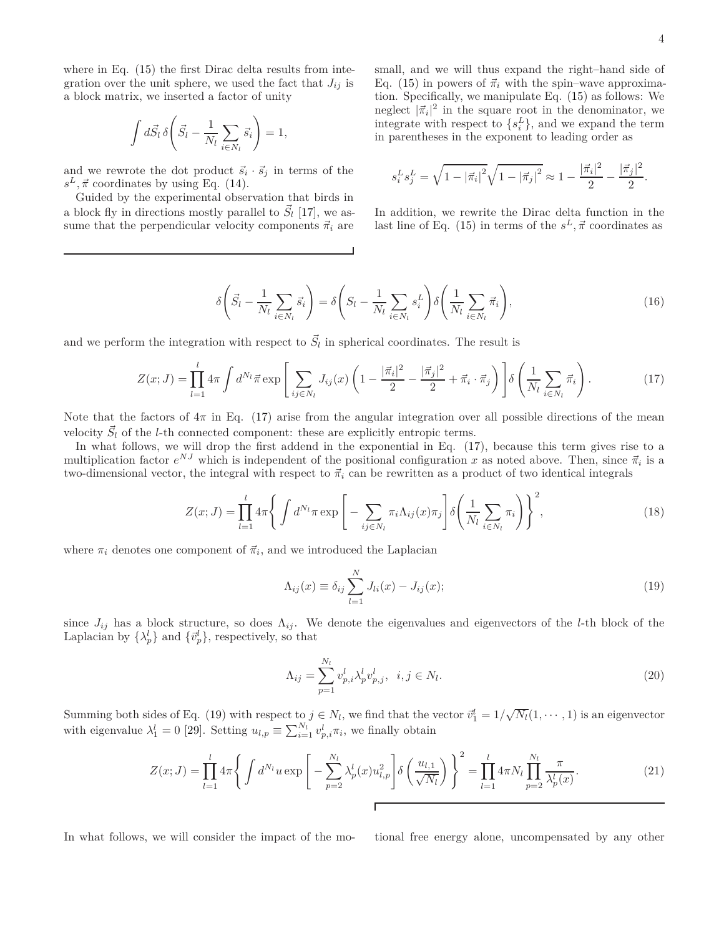where in Eq. [\(15\)](#page-2-1) the first Dirac delta results from integration over the unit sphere, we used the fact that  $J_{ij}$  is a block matrix, we inserted a factor of unity

$$
\int d\vec{S}_l \,\delta\bigg(\vec{S}_l - \frac{1}{N_l} \sum_{i \in N_l} \vec{s}_i\bigg) = 1,
$$

and we rewrote the dot product  $\vec{s}_i \cdot \vec{s}_j$  in terms of the  $s^L, \vec{\pi}$  coordinates by using Eq. [\(14\)](#page-2-2).

Guided by the experimental observation that birds in a block fly in directions mostly parallel to  $\vec{S}_l$  [\[17\]](#page-10-6), we assume that the perpendicular velocity components  $\vec{\pi}_i$  are

small, and we will thus expand the right–hand side of Eq. [\(15\)](#page-2-1) in powers of  $\vec{\pi}_i$  with the spin–wave approximation. Specifically, we manipulate Eq. [\(15\)](#page-2-1) as follows: We neglect  $|\vec{\pi}_i|^2$  in the square root in the denominator, we integrate with respect to  $\{s_i^L\}$ , and we expand the term in parentheses in the exponent to leading order as

$$
s_i^L s_j^L = \sqrt{1 - |\vec{\pi}_i|^2} \sqrt{1 - |\vec{\pi}_j|^2} \approx 1 - \frac{|\vec{\pi}_i|^2}{2} - \frac{|\vec{\pi}_j|^2}{2}.
$$

In addition, we rewrite the Dirac delta function in the last line of Eq. [\(15\)](#page-2-1) in terms of the  $s^L$ ,  $\vec{\pi}$  coordinates as

$$
\delta\left(\vec{S}_l - \frac{1}{N_l} \sum_{i \in N_l} \vec{s}_i\right) = \delta\left(S_l - \frac{1}{N_l} \sum_{i \in N_l} s_i^L\right) \delta\left(\frac{1}{N_l} \sum_{i \in N_l} \vec{\pi}_i\right),\tag{16}
$$

and we perform the integration with respect to  $\vec{S}_l$  in spherical coordinates. The result is

<span id="page-3-0"></span>
$$
Z(x;J) = \prod_{l=1}^{l} 4\pi \int d^{N_l} \vec{\pi} \exp\left[\sum_{ij \in N_l} J_{ij}(x) \left(1 - \frac{|\vec{\pi}_i|^2}{2} - \frac{|\vec{\pi}_j|^2}{2} + \vec{\pi}_i \cdot \vec{\pi}_j\right)\right] \delta\left(\frac{1}{N_l} \sum_{i \in N_l} \vec{\pi}_i\right).
$$
 (17)

Note that the factors of  $4\pi$  in Eq. [\(17\)](#page-3-0) arise from the angular integration over all possible directions of the mean velocity  $\vec{S}_l$  of the *l*-th connected component: these are explicitly entropic terms.

In what follows, we will drop the first addend in the exponential in Eq. [\(17\)](#page-3-0), because this term gives rise to a multiplication factor  $e^{NJ}$  which is independent of the positional configuration *x* as noted above. Then, since  $\vec{\pi}_i$  is a two-dimensional vector, the integral with respect to  $\vec{\pi}_i$  can be rewritten as a product of two identical integrals

$$
Z(x;J) = \prod_{l=1}^{l} 4\pi \left\{ \int d^{N_l} \pi \exp\left[ -\sum_{ij \in N_l} \pi_i \Lambda_{ij}(x) \pi_j \right] \delta \left( \frac{1}{N_l} \sum_{i \in N_l} \pi_i \right) \right\}^2, \tag{18}
$$

where  $\pi_i$  denotes one component of  $\vec{\pi}_i$ , and we introduced the Laplacian

<span id="page-3-1"></span>
$$
\Lambda_{ij}(x) \equiv \delta_{ij} \sum_{l=1}^{N} J_{li}(x) - J_{ij}(x); \qquad (19)
$$

since  $J_{ij}$  has a block structure, so does  $\Lambda_{ij}$ . We denote the eigenvalues and eigenvectors of the *l*-th block of the Laplacian by  $\{\lambda_p^l\}$  and  $\{\vec{v}_p^l\}$ , respectively, so that

$$
\Lambda_{ij} = \sum_{p=1}^{N_l} v_{p,i}^l \lambda_p^l v_{p,j}^l, \ \ i, j \in N_l. \tag{20}
$$

Summing both sides of Eq. [\(19\)](#page-3-1) with respect to  $j \in N_l$ , we find that the vector  $\vec{v}_1^l = 1/\sqrt{N_l}(1, \dots, 1)$  is an eigenvector with eigenvalue  $\lambda_1^l = 0$  [\[29\]](#page-10-15). Setting  $u_{l,p} \equiv \sum_{i=1}^{N_l} v_{p,i}^l \pi_i$ , we finally obtain

$$
Z(x;J) = \prod_{l=1}^{l} 4\pi \left\{ \int d^{N_l} u \exp \left[ -\sum_{p=2}^{N_l} \lambda_p^l(x) u_{l,p}^2 \right] \delta \left( \frac{u_{l,1}}{\sqrt{N_l}} \right) \right\}^2 = \prod_{l=1}^{l} 4\pi N_l \prod_{p=2}^{N_l} \frac{\pi}{\lambda_p^l(x)}.
$$
 (21)

In what follows, we will consider the impact of the mo-<br>tional free energy alone, uncompensated by any other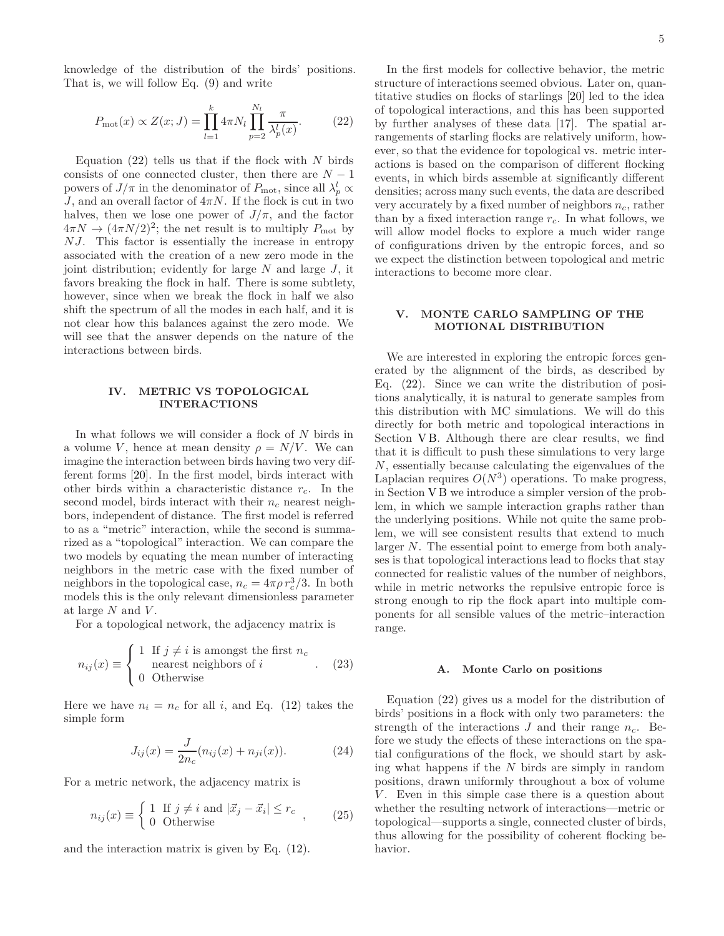knowledge of the distribution of the birds' positions. That is, we will follow Eq. [\(9\)](#page-2-3) and write

<span id="page-4-0"></span>
$$
P_{\text{mot}}(x) \propto Z(x; J) = \prod_{l=1}^{k} 4\pi N_l \prod_{p=2}^{N_l} \frac{\pi}{\lambda_p^l(x)}.
$$
 (22)

Equation [\(22\)](#page-4-0) tells us that if the flock with *N* birds consists of one connected cluster, then there are  $N-1$ powers of  $J/\pi$  in the denominator of  $P_{\text{mot}}$ , since all  $\lambda_p^l \propto$ *J*, and an overall factor of  $4\pi N$ . If the flock is cut in two halves, then we lose one power of  $J/\pi$ , and the factor  $4\pi N \rightarrow (4\pi N/2)^2$ ; the net result is to multiply  $P_{\text{mot}}$  by *N J*. This factor is essentially the increase in entropy associated with the creation of a new zero mode in the joint distribution; evidently for large *N* and large *J*, it favors breaking the flock in half. There is some subtlety, however, since when we break the flock in half we also shift the spectrum of all the modes in each half, and it is not clear how this balances against the zero mode. We will see that the answer depends on the nature of the interactions between birds.

## **IV. METRIC VS TOPOLOGICAL INTERACTIONS**

In what follows we will consider a flock of *N* birds in a volume *V*, hence at mean density  $\rho = N/V$ . We can imagine the interaction between birds having two very different forms [\[20](#page-10-9)]. In the first model, birds interact with other birds within a characteristic distance *rc*. In the second model, birds interact with their *n<sup>c</sup>* nearest neighbors, independent of distance. The first model is referred to as a "metric" interaction, while the second is summarized as a "topological" interaction. We can compare the two models by equating the mean number of interacting neighbors in the metric case with the fixed number of neighbors in the topological case,  $n_c = 4\pi \rho r_c^3/3$ . In both models this is the only relevant dimensionless parameter at large *N* and *V* .

For a topological network, the adjacency matrix is

<span id="page-4-1"></span>
$$
n_{ij}(x) \equiv \begin{cases} 1 & \text{If } j \neq i \text{ is amongst the first } n_c \\ \text{nearest neighbors of } i \\ 0 & \text{Otherwise} \end{cases} \tag{23}
$$

Here we have  $n_i = n_c$  for all *i*, and Eq. [\(12\)](#page-2-0) takes the simple form

<span id="page-4-3"></span>
$$
J_{ij}(x) = \frac{J}{2n_c}(n_{ij}(x) + n_{ji}(x)).
$$
 (24)

For a metric network, the adjacency matrix is

<span id="page-4-2"></span>
$$
n_{ij}(x) \equiv \begin{cases} 1 & \text{If } j \neq i \text{ and } |\vec{x}_j - \vec{x}_i| \le r_c \\ 0 & \text{Otherwise} \end{cases} \tag{25}
$$

and the interaction matrix is given by Eq. [\(12\)](#page-2-0).

In the first models for collective behavior, the metric structure of interactions seemed obvious. Later on, quantitative studies on flocks of starlings [\[20](#page-10-9)] led to the idea of topological interactions, and this has been supported by further analyses of these data [\[17](#page-10-6)]. The spatial arrangements of starling flocks are relatively uniform, however, so that the evidence for topological vs. metric interactions is based on the comparison of different flocking events, in which birds assemble at significantly different densities; across many such events, the data are described very accurately by a fixed number of neighbors *nc*, rather than by a fixed interaction range  $r_c$ . In what follows, we will allow model flocks to explore a much wider range of configurations driven by the entropic forces, and so we expect the distinction between topological and metric interactions to become more clear.

### **V. MONTE CARLO SAMPLING OF THE MOTIONAL DISTRIBUTION**

We are interested in exploring the entropic forces generated by the alignment of the birds, as described by Eq. [\(22\)](#page-4-0). Since we can write the distribution of positions analytically, it is natural to generate samples from this distribution with MC simulations. We will do this directly for both metric and topological interactions in Section VB. Although there are clear results, we find that it is difficult to push these simulations to very large *N*, essentially because calculating the eigenvalues of the Laplacian requires  $O(N^3)$  operations. To make progress, in Section [V B](#page-5-0) we introduce a simpler version of the problem, in which we sample interaction graphs rather than the underlying positions. While not quite the same problem, we will see consistent results that extend to much larger *N*. The essential point to emerge from both analyses is that topological interactions lead to flocks that stay connected for realistic values of the number of neighbors, while in metric networks the repulsive entropic force is strong enough to rip the flock apart into multiple components for all sensible values of the metric–interaction range.

#### **A. Monte Carlo on positions**

Equation [\(22\)](#page-4-0) gives us a model for the distribution of birds' positions in a flock with only two parameters: the strength of the interactions  $J$  and their range  $n_c$ . Before we study the effects of these interactions on the spatial configurations of the flock, we should start by asking what happens if the *N* birds are simply in random positions, drawn uniformly throughout a box of volume *V*. Even in this simple case there is a question about whether the resulting network of interactions—metric or topological—supports a single, connected cluster of birds, thus allowing for the possibility of coherent flocking behavior.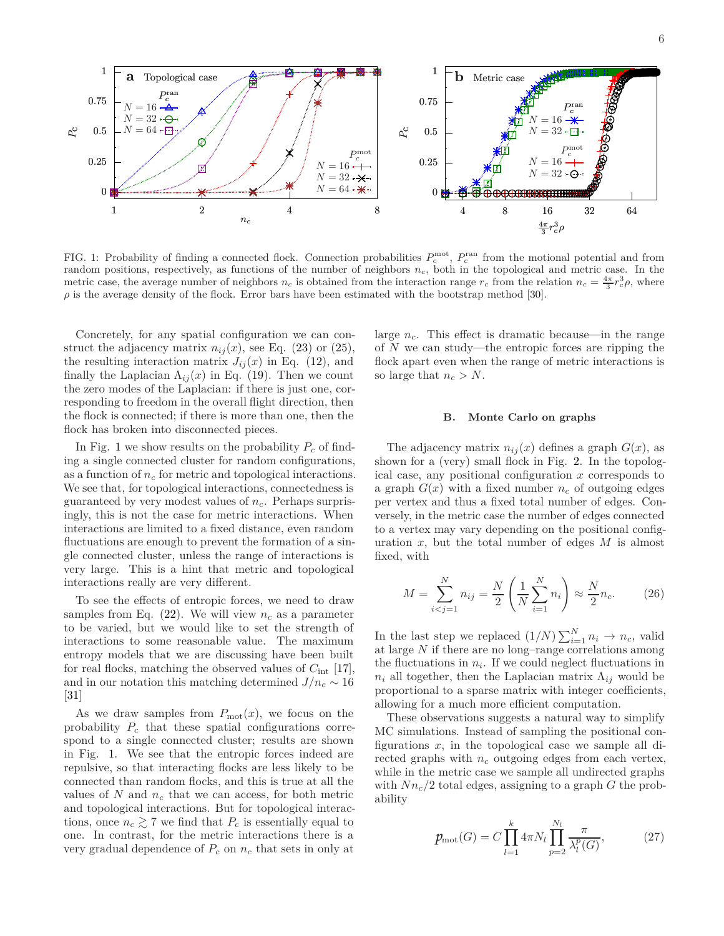

<span id="page-5-1"></span>FIG. 1: Probability of finding a connected flock. Connection probabilities  $P_c^{\text{mot}}$ ,  $P_c^{\text{ran}}$  from the motional potential and from random positions, respectively, as functions of the number of neighbors *nc*, both in the topological and metric case. In the metric case, the average number of neighbors  $n_c$  is obtained from the interaction range  $r_c$  from the relation  $n_c = \frac{4\pi}{3} r_c^3 \rho$ , where  $\rho$  is the average density of the flock. Error bars have been estimated with the bootstrap method [\[30](#page-10-16)].

Concretely, for any spatial configuration we can construct the adjacency matrix  $n_{ij}(x)$ , see Eq. [\(23\)](#page-4-1) or [\(25\)](#page-4-2), the resulting interaction matrix  $J_{ij}(x)$  in Eq. [\(12\)](#page-2-0), and finally the Laplacian  $\Lambda_{ij}(x)$  in Eq. [\(19\)](#page-3-1). Then we count the zero modes of the Laplacian: if there is just one, corresponding to freedom in the overall flight direction, then the flock is connected; if there is more than one, then the flock has broken into disconnected pieces.

In Fig. [1](#page-5-1) we show results on the probability  $P_c$  of finding a single connected cluster for random configurations, as a function of  $n_c$  for metric and topological interactions. We see that, for topological interactions, connectedness is guaranteed by very modest values of *nc*. Perhaps surprisingly, this is not the case for metric interactions. When interactions are limited to a fixed distance, even random fluctuations are enough to prevent the formation of a single connected cluster, unless the range of interactions is very large. This is a hint that metric and topological interactions really are very different.

To see the effects of entropic forces, we need to draw samples from Eq.  $(22)$ . We will view  $n_c$  as a parameter to be varied, but we would like to set the strength of interactions to some reasonable value. The maximum entropy models that we are discussing have been built for real flocks, matching the observed values of *C*int [\[17\]](#page-10-6), and in our notation this matching determined  $J/n_c \sim 16$ [\[31\]](#page-10-17)

As we draw samples from  $P_{\text{mot}}(x)$ , we focus on the probability *P<sup>c</sup>* that these spatial configurations correspond to a single connected cluster; results are shown in Fig. [1.](#page-5-1) We see that the entropic forces indeed are repulsive, so that interacting flocks are less likely to be connected than random flocks, and this is true at all the values of  $N$  and  $n_c$  that we can access, for both metric and topological interactions. But for topological interactions, once  $n_c \geq 7$  we find that  $P_c$  is essentially equal to one. In contrast, for the metric interactions there is a very gradual dependence of  $P_c$  on  $n_c$  that sets in only at

large *nc*. This effect is dramatic because—in the range of *N* we can study—the entropic forces are ripping the flock apart even when the range of metric interactions is so large that  $n_c > N$ .

### <span id="page-5-0"></span>**B. Monte Carlo on graphs**

The adjacency matrix  $n_{ij}(x)$  defines a graph  $G(x)$ , as shown for a (very) small flock in Fig. [2.](#page-6-0) In the topological case, any positional configuration *x* corresponds to a graph  $G(x)$  with a fixed number  $n_c$  of outgoing edges per vertex and thus a fixed total number of edges. Conversely, in the metric case the number of edges connected to a vertex may vary depending on the positional configuration *x*, but the total number of edges *M* is almost fixed, with

$$
M = \sum_{i < j = 1}^{N} n_{ij} = \frac{N}{2} \left( \frac{1}{N} \sum_{i=1}^{N} n_i \right) \approx \frac{N}{2} n_c. \tag{26}
$$

In the last step we replaced  $(1/N)\sum_{i=1}^{N}n_i \rightarrow n_c$ , valid at large *N* if there are no long–range correlations among the fluctuations in  $n_i$ . If we could neglect fluctuations in  $n_i$  all together, then the Laplacian matrix  $\Lambda_{ij}$  would be proportional to a sparse matrix with integer coefficients, allowing for a much more efficient computation.

These observations suggests a natural way to simplify MC simulations. Instead of sampling the positional configurations *x*, in the topological case we sample all directed graphs with  $n_c$  outgoing edges from each vertex, while in the metric case we sample all undirected graphs with  $Nn_c/2$  total edges, assigning to a graph *G* the probability

<span id="page-5-2"></span>
$$
p_{\text{mot}}(G) = C \prod_{l=1}^{k} 4\pi N_l \prod_{p=2}^{N_l} \frac{\pi}{\lambda_l^p(G)},
$$
 (27)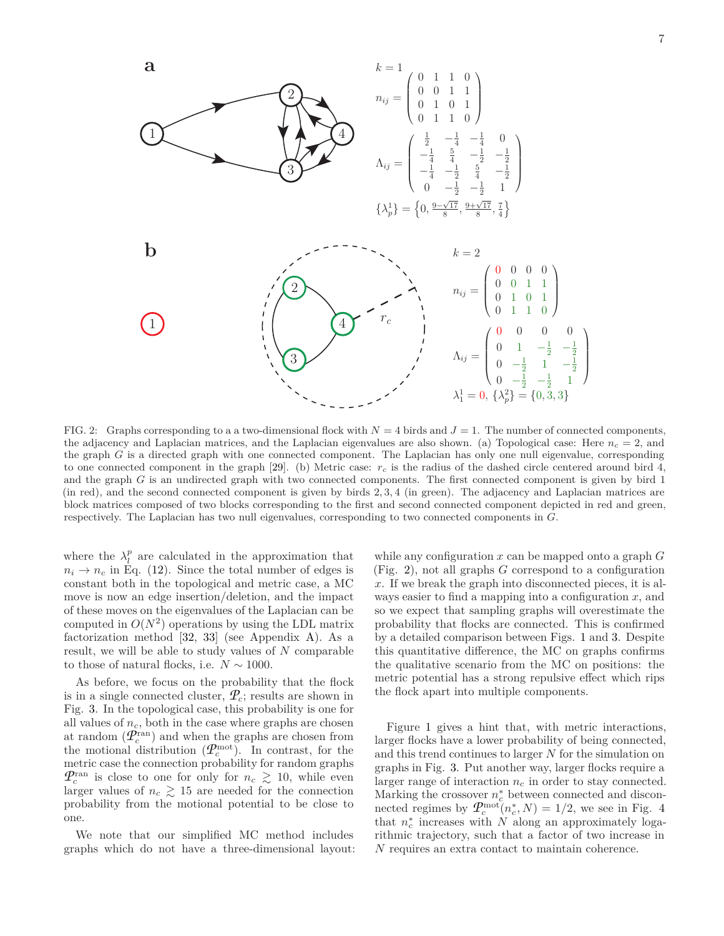

<span id="page-6-0"></span>FIG. 2: Graphs corresponding to a a two-dimensional flock with  $N = 4$  birds and  $J = 1$ . The number of connected components, the adjacency and Laplacian matrices, and the Laplacian eigenvalues are also shown. (a) Topological case: Here  $n_c = 2$ , and the graph *G* is a directed graph with one connected component. The Laplacian has only one null eigenvalue, corresponding to one connected component in the graph [\[29](#page-10-15)]. (b) Metric case: *r<sup>c</sup>* is the radius of the dashed circle centered around bird 4, and the graph *G* is an undirected graph with two connected components. The first connected component is given by bird 1 (in red), and the second connected component is given by birds 2*,* 3*,* 4 (in green). The adjacency and Laplacian matrices are block matrices composed of two blocks corresponding to the first and second connected component depicted in red and green, respectively. The Laplacian has two null eigenvalues, corresponding to two connected components in *G*.

where the  $\lambda_l^p$  are calculated in the approximation that  $n_i \rightarrow n_c$  in Eq. [\(12\)](#page-2-0). Since the total number of edges is constant both in the topological and metric case, a MC move is now an edge insertion/deletion, and the impact of these moves on the eigenvalues of the Laplacian can be computed in  $O(N^2)$  operations by using the LDL matrix factorization method [\[32](#page-10-18), [33\]](#page-11-0) (see Appendix [A\)](#page-8-0). As a result, we will be able to study values of *N* comparable to those of natural flocks, i.e.  $N \sim 1000$ .

As before, we focus on the probability that the flock is in a single connected cluster,  $\mathcal{P}_c$ ; results are shown in Fig. [3.](#page-7-0) In the topological case, this probability is one for all values of  $n_c$ , both in the case where graphs are chosen at random  $(P_c^{\text{ran}})$  and when the graphs are chosen from the motional distribution  $(\mathcal{P}_c^{\text{mot}})$ . In contrast, for the metric case the connection probability for random graphs  $\mathcal{P}_c^{\text{ran}}$  is close to one for only for  $n_c \geq 10$ , while even larger values of  $n_c \geq 15$  are needed for the connection probability from the motional potential to be close to one.

We note that our simplified MC method includes graphs which do not have a three-dimensional layout: while any configuration *x* can be mapped onto a graph *G* (Fig. [2\)](#page-6-0), not all graphs *G* correspond to a configuration *x*. If we break the graph into disconnected pieces, it is always easier to find a mapping into a configuration *x*, and so we expect that sampling graphs will overestimate the probability that flocks are connected. This is confirmed by a detailed comparison between Figs. [1](#page-5-1) and [3.](#page-7-0) Despite this quantitative difference, the MC on graphs confirms the qualitative scenario from the MC on positions: the metric potential has a strong repulsive effect which rips the flock apart into multiple components.

Figure [1](#page-5-1) gives a hint that, with metric interactions, larger flocks have a lower probability of being connected, and this trend continues to larger *N* for the simulation on graphs in Fig. [3.](#page-7-0) Put another way, larger flocks require a larger range of interaction *n<sup>c</sup>* in order to stay connected. Marking the crossover  $n_c^*$  between connected and disconnected regimes by  $\mathcal{P}_c^{\text{mot}}(n_c^*, N) = 1/2$ , we see in Fig. [4](#page-7-1) that  $n_c^*$  increases with  $N$  along an approximately logarithmic trajectory, such that a factor of two increase in *N* requires an extra contact to maintain coherence.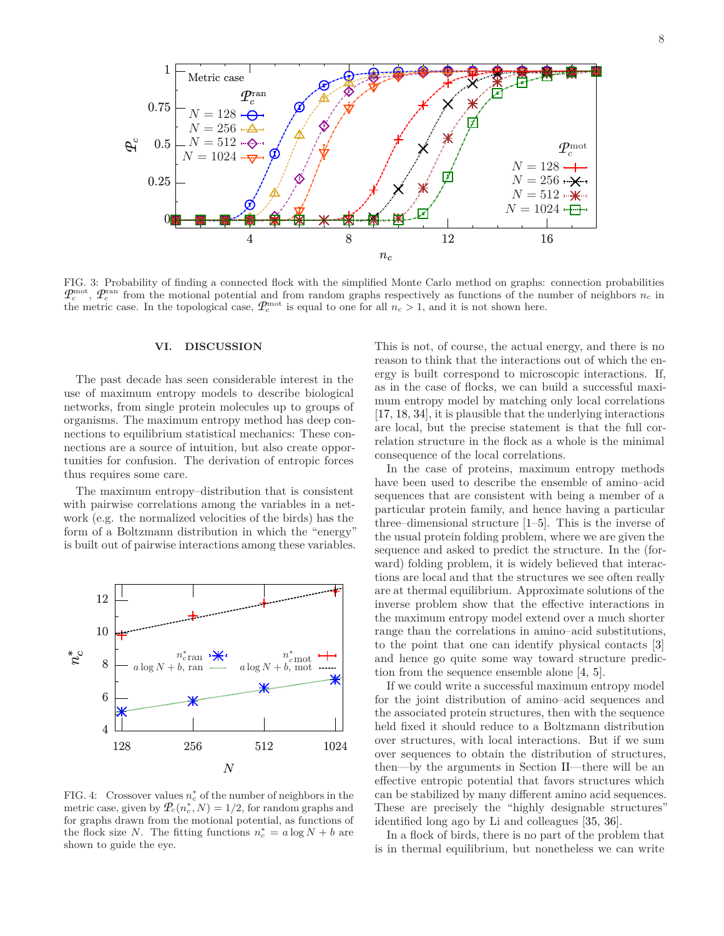![](_page_7_Figure_0.jpeg)

<span id="page-7-0"></span>FIG. 3: Probability of finding a connected flock with the simplified Monte Carlo method on graphs: connection probabilities  $P_c^{\text{mot}}$ ,  $P_c^{\text{ran}}$  from the motional potential and from random graphs respectively as functions of the number of neighbors  $n_c$  in the metric case. In the topological case,  $\mathcal{P}_c^{\text{mot}}$  is equal to one for all  $n_c > 1$ , and it is not shown here.

### **VI. DISCUSSION**

The past decade has seen considerable interest in the use of maximum entropy models to describe biological networks, from single protein molecules up to groups of organisms. The maximum entropy method has deep connections to equilibrium statistical mechanics: These connections are a source of intuition, but also create opportunities for confusion. The derivation of entropic forces thus requires some care.

The maximum entropy–distribution that is consistent with pairwise correlations among the variables in a network (e.g. the normalized velocities of the birds) has the form of a Boltzmann distribution in which the "energy" is built out of pairwise interactions among these variables.

![](_page_7_Figure_5.jpeg)

<span id="page-7-1"></span>FIG. 4: Crossover values  $n_c^*$  of the number of neighbors in the metric case, given by  $\mathcal{P}_c(n_c^*, N) = 1/2$ , for random graphs and for graphs drawn from the motional potential, as functions of the flock size *N*. The fitting functions  $n_c^* = a \log N + b$  are shown to guide the eye.

This is not, of course, the actual energy, and there is no reason to think that the interactions out of which the energy is built correspond to microscopic interactions. If, as in the case of flocks, we can build a successful maximum entropy model by matching only local correlations [\[17,](#page-10-6) [18,](#page-10-7) [34\]](#page-11-1), it is plausible that the underlying interactions are local, but the precise statement is that the full correlation structure in the flock as a whole is the minimal consequence of the local correlations.

In the case of proteins, maximum entropy methods have been used to describe the ensemble of amino–acid sequences that are consistent with being a member of a particular protein family, and hence having a particular three–dimensional structure [\[1](#page-10-0)[–5\]](#page-10-1). This is the inverse of the usual protein folding problem, where we are given the sequence and asked to predict the structure. In the (forward) folding problem, it is widely believed that interactions are local and that the structures we see often really are at thermal equilibrium. Approximate solutions of the inverse problem show that the effective interactions in the maximum entropy model extend over a much shorter range than the correlations in amino–acid substitutions, to the point that one can identify physical contacts [\[3](#page-10-19)] and hence go quite some way toward structure prediction from the sequence ensemble alone [\[4,](#page-10-20) [5\]](#page-10-1).

If we could write a successful maximum entropy model for the joint distribution of amino–acid sequences and the associated protein structures, then with the sequence held fixed it should reduce to a Boltzmann distribution over structures, with local interactions. But if we sum over sequences to obtain the distribution of structures, then—by the arguments in Section [II—](#page-1-4)there will be an effective entropic potential that favors structures which can be stabilized by many different amino acid sequences. These are precisely the "highly designable structures" identified long ago by Li and colleagues [\[35](#page-11-2), [36](#page-11-3)].

In a flock of birds, there is no part of the problem that is in thermal equilibrium, but nonetheless we can write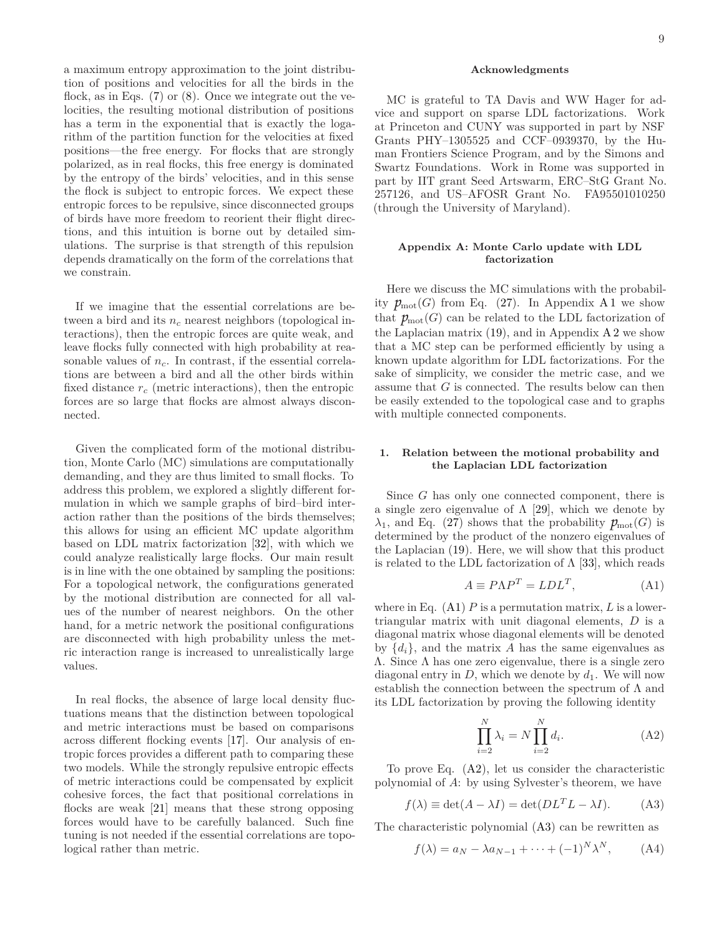a maximum entropy approximation to the joint distribution of positions and velocities for all the birds in the flock, as in Eqs.  $(7)$  or  $(8)$ . Once we integrate out the velocities, the resulting motional distribution of positions has a term in the exponential that is exactly the logarithm of the partition function for the velocities at fixed positions—the free energy. For flocks that are strongly polarized, as in real flocks, this free energy is dominated by the entropy of the birds' velocities, and in this sense the flock is subject to entropic forces. We expect these entropic forces to be repulsive, since disconnected groups of birds have more freedom to reorient their flight directions, and this intuition is borne out by detailed simulations. The surprise is that strength of this repulsion depends dramatically on the form of the correlations that we constrain.

If we imagine that the essential correlations are between a bird and its *n<sup>c</sup>* nearest neighbors (topological interactions), then the entropic forces are quite weak, and leave flocks fully connected with high probability at reasonable values of *nc*. In contrast, if the essential correlations are between a bird and all the other birds within fixed distance *r<sup>c</sup>* (metric interactions), then the entropic forces are so large that flocks are almost always disconnected.

Given the complicated form of the motional distribution, Monte Carlo (MC) simulations are computationally demanding, and they are thus limited to small flocks. To address this problem, we explored a slightly different formulation in which we sample graphs of bird–bird interaction rather than the positions of the birds themselves; this allows for using an efficient MC update algorithm based on LDL matrix factorization [\[32](#page-10-18)], with which we could analyze realistically large flocks. Our main result is in line with the one obtained by sampling the positions: For a topological network, the configurations generated by the motional distribution are connected for all values of the number of nearest neighbors. On the other hand, for a metric network the positional configurations are disconnected with high probability unless the metric interaction range is increased to unrealistically large values.

In real flocks, the absence of large local density fluctuations means that the distinction between topological and metric interactions must be based on comparisons across different flocking events [\[17\]](#page-10-6). Our analysis of entropic forces provides a different path to comparing these two models. While the strongly repulsive entropic effects of metric interactions could be compensated by explicit cohesive forces, the fact that positional correlations in flocks are weak [\[21\]](#page-10-10) means that these strong opposing forces would have to be carefully balanced. Such fine tuning is not needed if the essential correlations are topological rather than metric.

### **Acknowledgments**

MC is grateful to TA Davis and WW Hager for advice and support on sparse LDL factorizations. Work at Princeton and CUNY was supported in part by NSF Grants PHY–1305525 and CCF–0939370, by the Human Frontiers Science Program, and by the Simons and Swartz Foundations. Work in Rome was supported in part by IIT grant Seed Artswarm, ERC–StG Grant No. 257126, and US–AFOSR Grant No. FA95501010250 (through the University of Maryland).

# <span id="page-8-0"></span>**Appendix A: Monte Carlo update with LDL factorization**

Here we discuss the MC simulations with the probability  $p_{\text{mot}}(G)$  from Eq. [\(27\)](#page-5-2). In Appendix [A 1](#page-8-1) we show that  $p_{mot}(G)$  can be related to the LDL factorization of the Laplacian matrix  $(19)$ , and in Appendix [A 2](#page-9-0) we show that a MC step can be performed efficiently by using a known update algorithm for LDL factorizations. For the sake of simplicity, we consider the metric case, and we assume that *G* is connected. The results below can then be easily extended to the topological case and to graphs with multiple connected components.

### <span id="page-8-1"></span>**1. Relation between the motional probability and the Laplacian LDL factorization**

Since *G* has only one connected component, there is a single zero eigenvalue of  $\Lambda$  [\[29\]](#page-10-15), which we denote by  $\lambda_1$ , and Eq. [\(27\)](#page-5-2) shows that the probability  $p_{\text{mot}}(G)$  is determined by the product of the nonzero eigenvalues of the Laplacian [\(19\)](#page-3-1). Here, we will show that this product is related to the LDL factorization of  $\Lambda$  [\[33\]](#page-11-0), which reads

<span id="page-8-2"></span>
$$
A \equiv P\Lambda P^T = LDL^T,\tag{A1}
$$

where in Eq. [\(A1\)](#page-8-2) *P* is a permutation matrix, *L* is a lowertriangular matrix with unit diagonal elements, *D* is a diagonal matrix whose diagonal elements will be denoted by  $\{d_i\}$ , and the matrix *A* has the same eigenvalues as Λ. Since Λ has one zero eigenvalue, there is a single zero diagonal entry in  $D$ , which we denote by  $d_1$ . We will now establish the connection between the spectrum of  $\Lambda$  and its LDL factorization by proving the following identity

<span id="page-8-3"></span>
$$
\prod_{i=2}^{N} \lambda_i = N \prod_{i=2}^{N} d_i.
$$
 (A2)

To prove Eq. [\(A2\)](#page-8-3), let us consider the characteristic polynomial of *A*: by using Sylvester's theorem, we have

<span id="page-8-4"></span>
$$
f(\lambda) \equiv \det(A - \lambda I) = \det(DL^T L - \lambda I). \tag{A3}
$$

The characteristic polynomial [\(A3\)](#page-8-4) can be rewritten as

<span id="page-8-5"></span> $f(\lambda) = a_N - \lambda a_{N-1} + \cdots + (-1)^N \lambda^N$  $(A4)$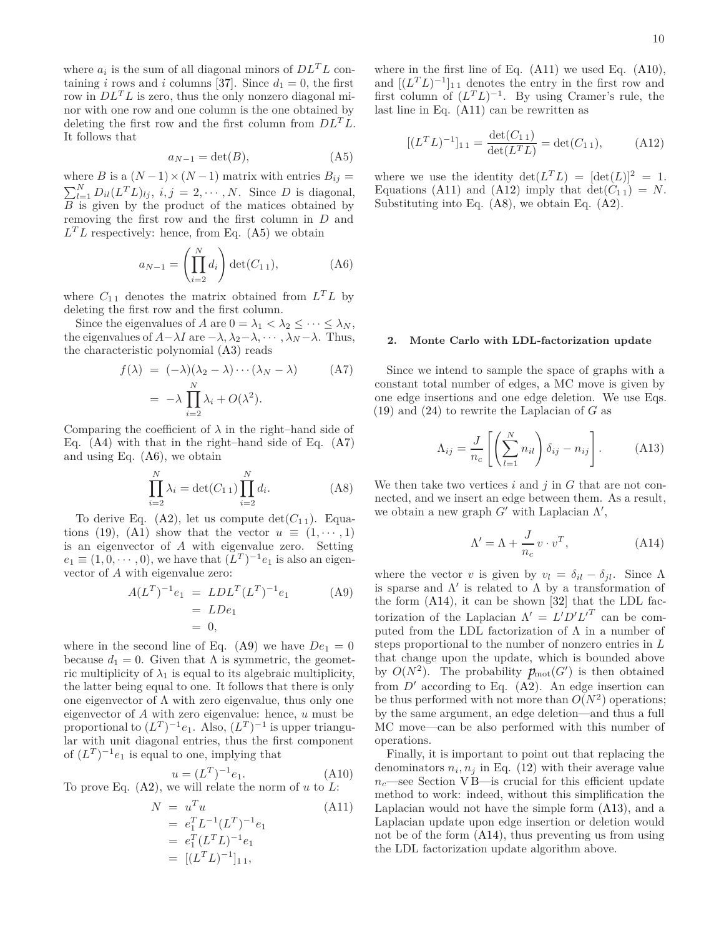where  $a_i$  is the sum of all diagonal minors of  $D\mathcal{L}^T\mathcal{L}$  containing *i* rows and *i* columns [\[37](#page-11-4)]. Since  $d_1 = 0$ , the first row in *DLTL* is zero, thus the only nonzero diagonal minor with one row and one column is the one obtained by deleting the first row and the first column from *DLTL*. It follows that

<span id="page-9-1"></span>
$$
a_{N-1} = \det(B), \tag{A5}
$$

where *B* is a  $(N-1) \times (N-1)$  matrix with entries  $B_{ij} =$  $\sum_{l=1}^{N} D_{il}(L^{T}L)_{lj}, i, j = 2, \cdots, N$ . Since *D* is diagonal, *B* is given by the product of the matices obtained by removing the first row and the first column in *D* and  $L<sup>T</sup>L$  respectively: hence, from Eq. [\(A5\)](#page-9-1) we obtain

<span id="page-9-3"></span>
$$
a_{N-1} = \left(\prod_{i=2}^{N} d_i\right) \det(C_{1\,1}),\tag{A6}
$$

where  $C_{11}$  denotes the matrix obtained from  $L^T L$  by deleting the first row and the first column.

Since the eigenvalues of *A* are  $0 = \lambda_1 < \lambda_2 \leq \cdots \leq \lambda_N$ , the eigenvalues of  $A - \lambda I$  are  $-\lambda$ ,  $\lambda_2 - \lambda$ ,  $\cdots$ ,  $\lambda_N - \lambda$ . Thus, the characteristic polynomial [\(A3\)](#page-8-4) reads

<span id="page-9-2"></span>
$$
f(\lambda) = (-\lambda)(\lambda_2 - \lambda) \cdots (\lambda_N - \lambda) \qquad (A7)
$$
  
=  $-\lambda \prod_{i=2}^N \lambda_i + O(\lambda^2).$ 

Comparing the coefficient of  $\lambda$  in the right–hand side of Eq. [\(A4\)](#page-8-5) with that in the right–hand side of Eq. [\(A7\)](#page-9-2) and using Eq. [\(A6\)](#page-9-3), we obtain

<span id="page-9-8"></span>
$$
\prod_{i=2}^{N} \lambda_i = \det(C_{1\,1}) \prod_{i=2}^{N} d_i.
$$
 (A8)

To derive Eq.  $(A2)$ , let us compute  $\det(C_{11})$ . Equa-tions [\(19\)](#page-3-1), [\(A1\)](#page-8-2) show that the vector  $u \equiv (1, \dots, 1)$ is an eigenvector of *A* with eigenvalue zero. Setting  $e_1 \equiv (1, 0, \dots, 0)$ , we have that  $(L^T)^{-1}e_1$  is also an eigenvector of *A* with eigenvalue zero:

<span id="page-9-4"></span>
$$
A(LT)-1e1 = LDLT(LT)-1e1
$$
  
= LDe<sub>1</sub>  
= 0, (A9)

where in the second line of Eq. [\(A9\)](#page-9-4) we have  $De_1 = 0$ because  $d_1 = 0$ . Given that  $\Lambda$  is symmetric, the geometric multiplicity of  $\lambda_1$  is equal to its algebraic multiplicity, the latter being equal to one. It follows that there is only one eigenvector of  $\Lambda$  with zero eigenvalue, thus only one eigenvector of *A* with zero eigenvalue: hence, *u* must be proportional to  $(L^T)^{-1}e_1$ . Also,  $(L^T)^{-1}$  is upper triangular with unit diagonal entries, thus the first component of  $(L^T)^{-1}e_1$  is equal to one, implying that

<span id="page-9-6"></span>
$$
u = (L^T)^{-1}e_1.
$$
 (A10)

To prove Eq. [\(A2\)](#page-8-3), we will relate the norm of *u* to *L*:

<span id="page-9-5"></span>
$$
N = uTu
$$
 (A11)  
=  $e_1^T L^{-1} (L^T)^{-1} e_1$   
=  $e_1^T (L^T L)^{-1} e_1$   
=  $[(L^T L)^{-1}]_{11}$ ,

where in the first line of Eq. [\(A11\)](#page-9-5) we used Eq. [\(A10\)](#page-9-6), and  $[(L^T L)^{-1}]_{11}$  denotes the entry in the first row and first column of  $(L^T L)^{-1}$ . By using Cramer's rule, the last line in Eq.  $(A11)$  can be rewritten as

<span id="page-9-7"></span>
$$
[(L^T L)^{-1}]_{11} = \frac{\det(C_{11})}{\det(L^T L)} = \det(C_{11}), \quad (A12)
$$

where we use the identity  $\det(L^T L) = [\det(L)]^2 = 1$ . Equations [\(A11\)](#page-9-5) and [\(A12\)](#page-9-7) imply that  $\det(C_{11}) = N$ . Substituting into Eq. [\(A8\)](#page-9-8), we obtain Eq. [\(A2\)](#page-8-3).

### <span id="page-9-0"></span>**2. Monte Carlo with LDL-factorization update**

Since we intend to sample the space of graphs with a constant total number of edges, a MC move is given by one edge insertions and one edge deletion. We use Eqs. [\(19\)](#page-3-1) and [\(24\)](#page-4-3) to rewrite the Laplacian of *G* as

<span id="page-9-10"></span>
$$
\Lambda_{ij} = \frac{J}{n_c} \left[ \left( \sum_{l=1}^{N} n_{il} \right) \delta_{ij} - n_{ij} \right]. \tag{A13}
$$

We then take two vertices *i* and *j* in *G* that are not connected, and we insert an edge between them. As a result, we obtain a new graph  $G'$  with Laplacian  $\Lambda'$ ,

<span id="page-9-9"></span>
$$
\Lambda' = \Lambda + \frac{J}{n_c} v \cdot v^T, \tag{A14}
$$

where the vector *v* is given by  $v_l = \delta_{il} - \delta_{jl}$ . Since  $\Lambda$ is sparse and  $\Lambda'$  is related to  $\Lambda$  by a transformation of the form [\(A14\)](#page-9-9), it can be shown [\[32\]](#page-10-18) that the LDL factorization of the Laplacian  $\Lambda' = L'D'L^T$  can be computed from the LDL factorization of  $\Lambda$  in a number of steps proportional to the number of nonzero entries in *L* that change upon the update, which is bounded above by  $O(N^2)$ . The probability  $p_{mot}(G')$  is then obtained from  $D'$  according to Eq.  $(A<sub>2</sub>)$ . An edge insertion can be thus performed with not more than  $O(N^2)$  operations; by the same argument, an edge deletion—and thus a full MC move—can be also performed with this number of operations.

Finally, it is important to point out that replacing the denominators  $n_i$ ,  $n_j$  in Eq. [\(12\)](#page-2-0) with their average value  $n_c$ —see Section [V B—](#page-5-0)is crucial for this efficient update method to work: indeed, without this simplification the Laplacian would not have the simple form [\(A13\)](#page-9-10), and a Laplacian update upon edge insertion or deletion would not be of the form [\(A14\)](#page-9-9), thus preventing us from using the LDL factorization update algorithm above.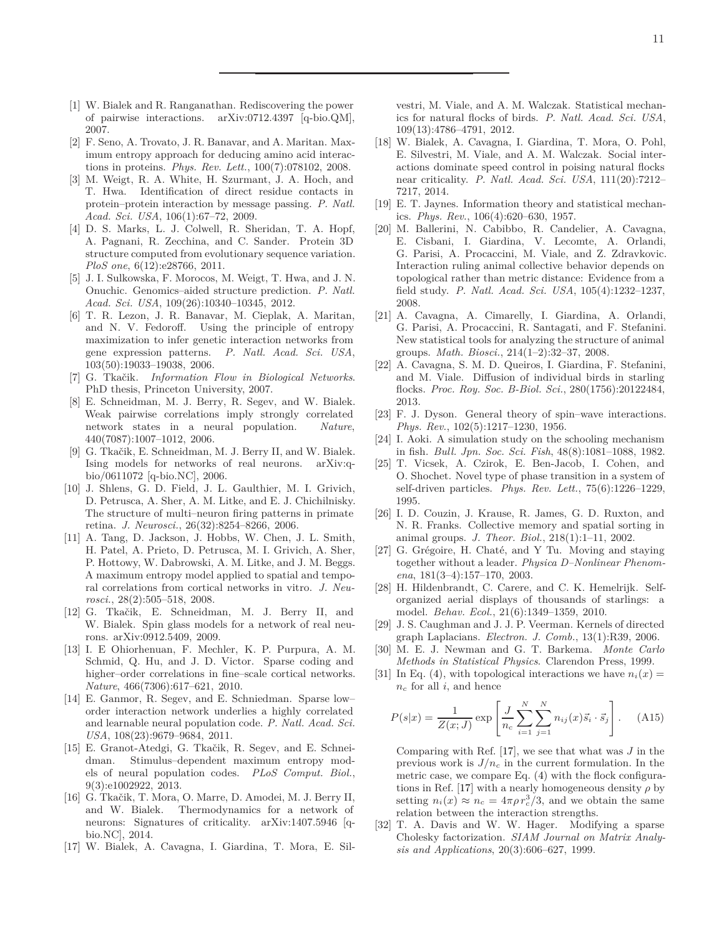- <span id="page-10-0"></span>[1] W. Bialek and R. Ranganathan. Rediscovering the power of pairwise interactions. arXiv:0712.4397 [q-bio.QM], 2007.
- [2] F. Seno, A. Trovato, J. R. Banavar, and A. Maritan. Maximum entropy approach for deducing amino acid interactions in proteins. *Phys. Rev. Lett.*, 100(7):078102, 2008.
- <span id="page-10-19"></span>[3] M. Weigt, R. A. White, H. Szurmant, J. A. Hoch, and T. Hwa. Identification of direct residue contacts in protein–protein interaction by message passing. *P. Natl. Acad. Sci. USA*, 106(1):67–72, 2009.
- <span id="page-10-20"></span>[4] D. S. Marks, L. J. Colwell, R. Sheridan, T. A. Hopf, A. Pagnani, R. Zecchina, and C. Sander. Protein 3D structure computed from evolutionary sequence variation. *PloS one*, 6(12):e28766, 2011.
- <span id="page-10-1"></span>[5] J. I. Sulkowska, F. Morocos, M. Weigt, T. Hwa, and J. N. Onuchic. Genomics–aided structure prediction. *P. Natl. Acad. Sci. USA*, 109(26):10340–10345, 2012.
- <span id="page-10-2"></span>[6] T. R. Lezon, J. R. Banavar, M. Cieplak, A. Maritan, and N. V. Fedoroff. Using the principle of entropy maximization to infer genetic interaction networks from gene expression patterns. *P. Natl. Acad. Sci. USA*, 103(50):19033–19038, 2006.
- <span id="page-10-3"></span>[7] G. Tkačik. *Information Flow in Biological Networks*. PhD thesis, Princeton University, 2007.
- <span id="page-10-4"></span>[8] E. Schneidman, M. J. Berry, R. Segev, and W. Bialek. Weak pairwise correlations imply strongly correlated network states in a neural population. *Nature*, 440(7087):1007–1012, 2006.
- [9] G. Tkačik, E. Schneidman, M. J. Berry II, and W. Bialek. Ising models for networks of real neurons. arXiv:qbio/0611072 [q-bio.NC], 2006.
- [10] J. Shlens, G. D. Field, J. L. Gaulthier, M. I. Grivich, D. Petrusca, A. Sher, A. M. Litke, and E. J. Chichilnisky. The structure of multi–neuron firing patterns in primate retina. *J. Neurosci.*, 26(32):8254–8266, 2006.
- [11] A. Tang, D. Jackson, J. Hobbs, W. Chen, J. L. Smith, H. Patel, A. Prieto, D. Petrusca, M. I. Grivich, A. Sher, P. Hottowy, W. Dabrowski, A. M. Litke, and J. M. Beggs. A maximum entropy model applied to spatial and temporal correlations from cortical networks in vitro. *J. Neurosci.*, 28(2):505–518, 2008.
- [12] G. Tkačik, E. Schneidman, M. J. Berry II, and W. Bialek. Spin glass models for a network of real neurons. arXiv:0912.5409, 2009.
- [13] I. E Ohiorhenuan, F. Mechler, K. P. Purpura, A. M. Schmid, Q. Hu, and J. D. Victor. Sparse coding and higher–order correlations in fine–scale cortical networks. *Nature*, 466(7306):617–621, 2010.
- [14] E. Ganmor, R. Segev, and E. Schniedman. Sparse low– order interaction network underlies a highly correlated and learnable neural population code. *P. Natl. Acad. Sci. USA*, 108(23):9679–9684, 2011.
- [15] E. Granot-Atedgi, G. Tkačik, R. Segev, and E. Schneidman. Stimulus–dependent maximum entropy models of neural population codes. *PLoS Comput. Biol.*, 9(3):e1002922, 2013.
- <span id="page-10-5"></span>[16] G. Tkačik, T. Mora, O. Marre, D. Amodei, M. J. Berry II, and W. Bialek. Thermodynamics for a network of neurons: Signatures of criticality. arXiv:1407.5946 [qbio.NC], 2014.
- <span id="page-10-6"></span>[17] W. Bialek, A. Cavagna, I. Giardina, T. Mora, E. Sil-

vestri, M. Viale, and A. M. Walczak. Statistical mechanics for natural flocks of birds. *P. Natl. Acad. Sci. USA*, 109(13):4786–4791, 2012.

- <span id="page-10-7"></span>[18] W. Bialek, A. Cavagna, I. Giardina, T. Mora, O. Pohl, E. Silvestri, M. Viale, and A. M. Walczak. Social interactions dominate speed control in poising natural flocks near criticality. *P. Natl. Acad. Sci. USA*, 111(20):7212– 7217, 2014.
- <span id="page-10-8"></span>[19] E. T. Jaynes. Information theory and statistical mechanics. *Phys. Rev.*, 106(4):620–630, 1957.
- <span id="page-10-9"></span>[20] M. Ballerini, N. Cabibbo, R. Candelier, A. Cavagna, E. Cisbani, I. Giardina, V. Lecomte, A. Orlandi, G. Parisi, A. Procaccini, M. Viale, and Z. Zdravkovic. Interaction ruling animal collective behavior depends on topological rather than metric distance: Evidence from a field study. *P. Natl. Acad. Sci. USA*, 105(4):1232–1237, 2008.
- <span id="page-10-10"></span>[21] A. Cavagna, A. Cimarelly, I. Giardina, A. Orlandi, G. Parisi, A. Procaccini, R. Santagati, and F. Stefanini. New statistical tools for analyzing the structure of animal groups. *Math. Biosci.*, 214(1–2):32–37, 2008.
- <span id="page-10-11"></span>[22] A. Cavagna, S. M. D. Queiros, I. Giardina, F. Stefanini, and M. Viale. Diffusion of individual birds in starling flocks. *Proc. Roy. Soc. B-Biol. Sci.*, 280(1756):20122484, 2013.
- <span id="page-10-12"></span>[23] F. J. Dyson. General theory of spin–wave interactions. *Phys. Rev.*, 102(5):1217–1230, 1956.
- <span id="page-10-13"></span>[24] I. Aoki. A simulation study on the schooling mechanism in fish. *Bull. Jpn. Soc. Sci. Fish*, 48(8):1081–1088, 1982.
- [25] T. Vicsek, A. Czirok, E. Ben-Jacob, I. Cohen, and O. Shochet. Novel type of phase transition in a system of self-driven particles. *Phys. Rev. Lett.*, 75(6):1226–1229, 1995.
- [26] I. D. Couzin, J. Krause, R. James, G. D. Ruxton, and N. R. Franks. Collective memory and spatial sorting in animal groups. *J. Theor. Biol.*, 218(1):1–11, 2002.
- [27] G. Grégoire, H. Chaté, and Y Tu. Moving and staying together without a leader. *Physica D–Nonlinear Phenomena*, 181(3–4):157–170, 2003.
- <span id="page-10-14"></span>[28] H. Hildenbrandt, C. Carere, and C. K. Hemelrijk. Selforganized aerial displays of thousands of starlings: a model. *Behav. Ecol.*, 21(6):1349–1359, 2010.
- <span id="page-10-15"></span>[29] J. S. Caughman and J. J. P. Veerman. Kernels of directed graph Laplacians. *Electron. J. Comb.*, 13(1):R39, 2006.
- <span id="page-10-16"></span>[30] M. E. J. Newman and G. T. Barkema. *Monte Carlo Methods in Statistical Physics*. Clarendon Press, 1999.
- <span id="page-10-17"></span>[31] In Eq. [\(4\)](#page-1-5), with topological interactions we have  $n_i(x) =$ *n<sup>c</sup>* for all *i*, and hence

$$
P(s|x) = \frac{1}{Z(x; J)} \exp\left[\frac{J}{n_c} \sum_{i=1}^{N} \sum_{j=1}^{N} n_{ij}(x) \vec{s}_i \cdot \vec{s}_j\right].
$$
 (A15)

Comparing with Ref. [\[17](#page-10-6)], we see that what was *J* in the previous work is  $J/n_c$  in the current formulation. In the metric case, we compare Eq.  $(4)$  with the flock configura-tions in Ref. [\[17](#page-10-6)] with a nearly homogeneous density  $\rho$  by setting  $n_i(x) \approx n_c = 4\pi \rho r_c^3/3$ , and we obtain the same relation between the interaction strengths.

<span id="page-10-18"></span>[32] T. A. Davis and W. W. Hager. Modifying a sparse Cholesky factorization. *SIAM Journal on Matrix Analysis and Applications*, 20(3):606–627, 1999.